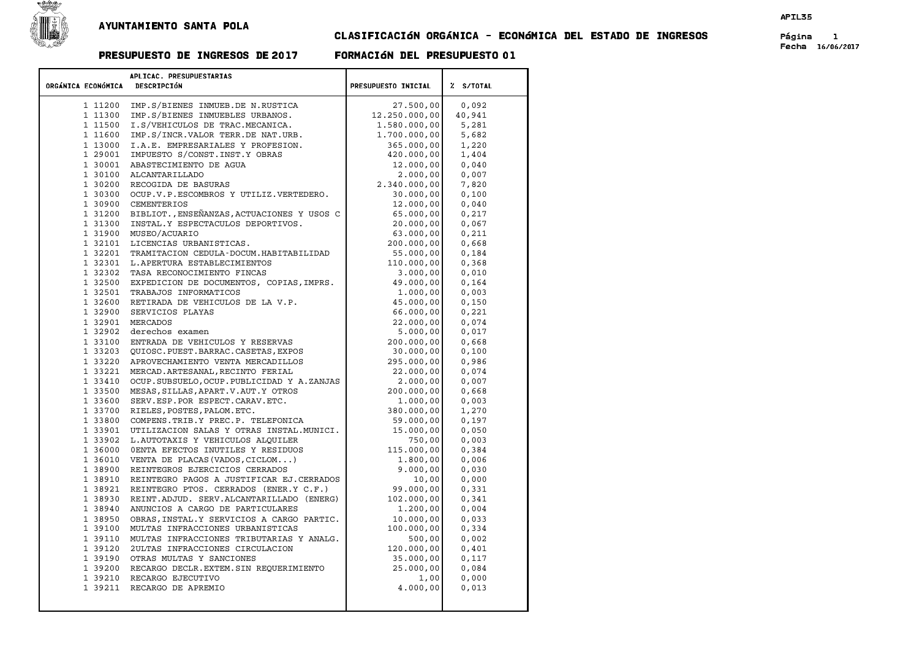

## CLASIFICACIÓN ORGÁNICA - ECONÓMICA DEL ESTADO DE INGRESOS Página 1

## PRESUPUESTO DE INGRESOS DE 2017 FORMACIÓN DEL PRESUPUESTO 01

Fecha 16/06/2017

|                    | APLICAC. PRESUPUESTARIAS                                                      |                      |                |
|--------------------|-------------------------------------------------------------------------------|----------------------|----------------|
| ORGÁNICA ECONÓMICA | <b>DESCRIPCIÓN</b>                                                            | PRESUPUESTO INICIAL  | Z S/TOTAL      |
| 1 11200            | IMP.S/BIENES INMUEB.DE N.RUSTICA                                              | 27.500,00            | 0,092          |
| 1 11300            | IMP.S/BIENES INMUEBLES URBANOS.                                               | 12.250.000,00        | 40,941         |
| 1 11500            | I.S/VEHICULOS DE TRAC.MECANICA.                                               | 1.580.000,00         | 5,281          |
| 1 11600            | IMP.S/INCR.VALOR TERR.DE NAT.URB.                                             | 1.700.000,00         | 5,682          |
| 1 13000            | I.A.E. EMPRESARIALES Y PROFESION.                                             | 365.000,00           | 1,220          |
| 1 29001            | IMPUESTO S/CONST.INST.Y OBRAS                                                 | 420.000,00           | 1,404          |
| 1 30001            | ABASTECIMIENTO DE AGUA                                                        | 12.000,00            | 0,040          |
|                    | 1 30100 ALCANTARILLADO                                                        | 2.000,00             | 0,007          |
| 1 30200            | RECOGIDA DE BASURAS                                                           | 2.340.000,00         | 7,820          |
| 1 30300            | OCUP.V.P.ESCOMBROS Y UTILIZ.VERTEDERO.                                        | 30.000,00            | 0,100          |
| 1 30900            | CEMENTERIOS                                                                   | 12.000,00            | 0,040          |
| 1 31200            | BIBLIOT., ENSEÑANZAS, ACTUACIONES Y USOS C                                    | 65.000,00            | 0,217          |
| 1 31300            | INSTAL.Y ESPECTACULOS DEPORTIVOS.                                             | 20.000,00            | 0,067          |
|                    | 1 31900 MUSEO/ACUARIO                                                         | 63.000,00            | 0,211          |
| 1 32101            | LICENCIAS URBANISTICAS.                                                       | 200.000,00           | 0,668          |
| 1 32201            | TRAMITACION CEDULA-DOCUM.HABITABILIDAD                                        | 55.000,00            | 0,184          |
|                    | 1 32301 L. APERTURA ESTABLECIMIENTOS                                          | 110.000,00           | 0,368          |
|                    | 1 32302 TASA RECONOCIMIENTO FINCAS                                            | 3.000,00             | 0,010          |
|                    | 1 32500 EXPEDICION DE DOCUMENTOS, COPIAS, IMPRS.                              | 49.000,00            | 0.164          |
|                    | 1 32501 TRABAJOS INFORMATICOS                                                 | 1.000,00             | 0,003          |
|                    | 1 32600 RETIRADA DE VEHICULOS DE LA V.P.                                      | 45.000,00            | 0,150          |
|                    | 1 32900 SERVICIOS PLAYAS                                                      | 66.000,00            | 0,221          |
|                    | 1 32901 MERCADOS                                                              | 22.000,00            | 0,074          |
|                    | 1 32902 derechos examen                                                       | 5.000,00             | 0,017          |
|                    | 1 33100 ENTRADA DE VEHICULOS Y RESERVAS                                       | 200.000,00           | 0,668          |
|                    | 1 33203 QUIOSC. PUEST. BARRAC. CASETAS, EXPOS                                 | 30.000,00            | 0,100          |
| 1 33220            | APROVECHAMIENTO VENTA MERCADILLOS                                             | 295.000,00           | 0,986          |
| 1 33221            | MERCAD.ARTESANAL, RECINTO FERIAL                                              | 22.000,00            | 0,074          |
| 1 33410            | OCUP.SUBSUELO, OCUP. PUBLICIDAD Y A.ZANJAS                                    | 2,000,00             | 0,007          |
| 1 33500            | MESAS, SILLAS, APART.V. AUT.Y OTROS                                           | 200.000,00           | 0,668          |
| 1 33600            | SERV.ESP.POR ESPECT.CARAV.ETC.                                                | 1,000,00             | 0,003          |
| 1 33700            | RIELES, POSTES, PALOM. ETC.                                                   | 380.000,00           | 1,270          |
| 1 33800            | COMPENS.TRIB.Y PREC.P. TELEFONICA                                             | 59.000,00            | 0,197          |
| 1 33901            | UTILIZACION SALAS Y OTRAS INSTAL. MUNICI.                                     | 15.000,00            | 0,050          |
| 1 36000            | 1 33902 L.AUTOTAXIS Y VEHICULOS ALQUILER<br>OENTA EFECTOS INUTILES Y RESIDUOS | 750,00<br>115.000,00 | 0,003<br>0,384 |
|                    | 1 36010 VENTA DE PLACAS (VADOS, CICLOM)                                       | 1.800,00             | 0,006          |
| 1 38900            | REINTEGROS EJERCICIOS CERRADOS                                                | 9.000,00             | 0,030          |
| 1 38910            | REINTEGRO PAGOS A JUSTIFICAR EJ.CERRADOS                                      | 10,00                | 0,000          |
| 1 38921            | REINTEGRO PTOS. CERRADOS (ENER.Y C.F.)                                        | 99.000,00            | 0,331          |
| 1 38930            | REINT.ADJUD. SERV.ALCANTARILLADO (ENERG)                                      | 102,000,00           | 0,341          |
| 1 38940            | ANUNCIOS A CARGO DE PARTICULARES                                              | 1.200,00             | 0,004          |
| 1 38950            | OBRAS, INSTAL.Y SERVICIOS A CARGO PARTIC.                                     | 10.000,00            | 0,033          |
| 1 39100            | MULTAS INFRACCIONES URBANISTICAS                                              | 100.000,00           | 0,334          |
| 1 39110            | MULTAS INFRACCIONES TRIBUTARIAS Y ANALG.                                      | 500,00               | 0,002          |
|                    | 1 39120 2ULTAS INFRACCIONES CIRCULACION                                       | 120.000,00           | 0,401          |
|                    | 1 39190 OTRAS MULTAS Y SANCIONES                                              | 35.000,00            | 0,117          |
|                    | 1 39200 RECARGO DECLR. EXTEM. SIN REQUERIMIENTO                               | 25.000,00            | 0,084          |
|                    | 1 39210 RECARGO EJECUTIVO                                                     | 1,00                 | 0,000          |
|                    | 1 39211 RECARGO DE APREMIO                                                    | 4.000,00             | 0,013          |
|                    |                                                                               |                      |                |
|                    |                                                                               |                      |                |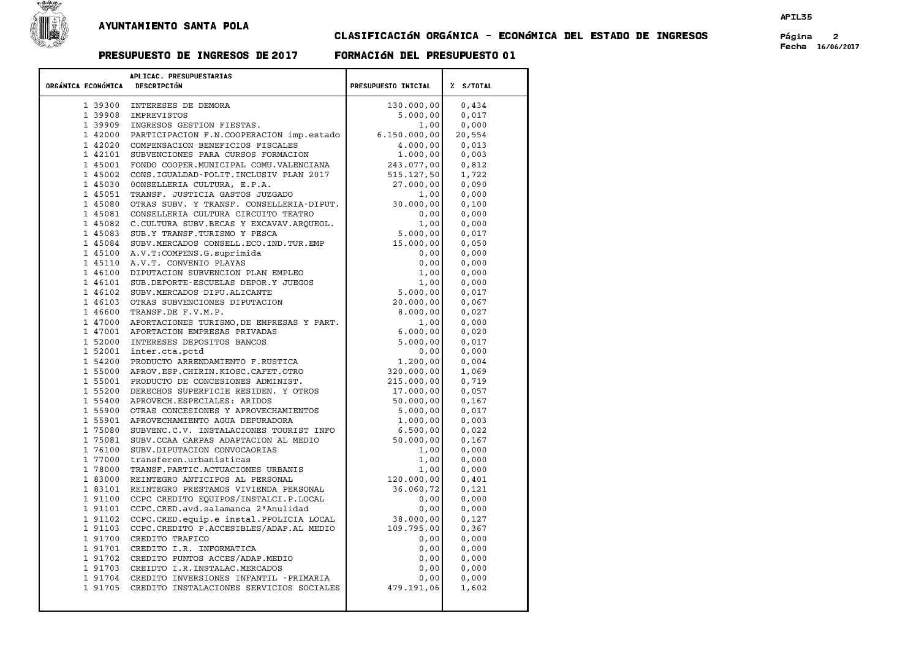

## CLASIFICACIÓN ORGÁNICA - ECONÓMICA DEL ESTADO DE INGRESOS Página 2

## PRESUPUESTO DE INGRESOS DE 2017 FORMACIÓN DEL PRESUPUESTO 01

Fecha 16/06/2017

|                    | APLICAC. PRESUPUESTARIAS                                                                |                      |                |
|--------------------|-----------------------------------------------------------------------------------------|----------------------|----------------|
| ORGÁNICA ECONÓMICA | DESCRIPCIÓN                                                                             | PRESUPUESTO INICIAL  | % S/TOTAL      |
|                    | 1 39300 INTERESES DE DEMORA                                                             | 130.000,00           | 0,434          |
|                    | 1 39908 IMPREVISTOS                                                                     | 5.000,00             | 0,017          |
|                    | 1 39909 INGRESOS GESTION FIESTAS.                                                       | 1,00                 | 0,000          |
|                    | 1 42000 PARTICIPACION F.N.COOPERACION imp.estado                                        | 6.150.000,00         | 20,554         |
|                    | 1 42020 COMPENSACION BENEFICIOS FISCALES                                                | 4.000,00             | 0.013          |
|                    | 1 42101 SUBVENCIONES PARA CURSOS FORMACION                                              | 1.000,00             | 0,003          |
|                    | 1 45001 FONDO COOPER. MUNICIPAL COMU. VALENCIANA                                        | 243.077,00           | 0,812          |
|                    | 1 45002 CONS.IGUALDAD-POLIT.INCLUSIV PLAN 2017                                          | 515.127,50           | 1,722          |
|                    | 1 45030 OONSELLERIA CULTURA, E.P.A.                                                     | 27.000,00            | 0.090          |
|                    | 1 45051 TRANSF. JUSTICIA GASTOS JUZGADO                                                 | 1,00                 | 0,000          |
|                    | 1 45080 OTRAS SUBV. Y TRANSF. CONSELLERIA-DIPUT.                                        | 30.000,00            | 0.100          |
| 1 45081            | CONSELLERIA CULTURA CIRCUITO TEATRO                                                     | 0,00                 | 0,000          |
|                    | 1 45082 C.CULTURA SUBV.BECAS Y EXCAVAV.ARQUEOL.                                         | 1,00                 | 0,000          |
|                    | 1 45083 SUB.Y TRANSF.TURISMO Y PESCA                                                    | 5.000,00             | 0,017          |
|                    | 1 45084 SUBV.MERCADOS CONSELL.ECO.IND.TUR.EMP                                           | 15.000,00            | 0,050          |
|                    | 1 45100 A.V.T: COMPENS.G. suprimida                                                     | 0,00                 | 0,000          |
|                    | 1 45110 A.V.T. CONVENIO PLAYAS                                                          | 0,00                 | 0.000          |
|                    | 1 46100 DIPUTACION SUBVENCION PLAN EMPLEO                                               | 1,00                 | 0,000          |
| 1 46101            | SUB. DEPORTE-ESCUELAS DEPOR.Y JUEGOS                                                    | 1,00                 | 0,000          |
|                    | 1 46102 SUBV.MERCADOS DIPU.ALICANTE                                                     | 5.000,00             | 0,017          |
|                    | 1 46103 OTRAS SUBVENCIONES DIPUTACION                                                   | 20.000,00            | 0.067          |
|                    | 1 46600 TRANSF.DE F.V.M.P.                                                              | 8.000,00             | 0,027          |
|                    | 1 47000 APORTACIONES TURISMO, DE EMPRESAS Y PART.                                       | 1,00                 | 0,000          |
|                    | 1 47001 APORTACION EMPRESAS PRIVADAS                                                    | 6.000,00             | 0,020          |
|                    | 1 52000 INTERESES DEPOSITOS BANCOS                                                      | 5.000,00             | 0,017          |
|                    | 1 52001 inter.cta.pctd                                                                  | 0,00                 | 0,000          |
|                    | 1 54200 PRODUCTO ARRENDAMIENTO F.RUSTICA                                                | 1.200,00             | 0.004          |
|                    | 1 55000 APROV.ESP.CHIRIN.KIOSC.CAFET.OTRO                                               | 320.000,00           | 1,069          |
|                    | 1 55001 PRODUCTO DE CONCESIONES ADMINIST.                                               | 215,000,00           | 0,719          |
|                    | 1 55200 DERECHOS SUPERFICIE RESIDEN. Y OTROS                                            | 17.000,00            | 0,057          |
|                    | 1 55400 APROVECH. ESPECIALES: ARIDOS                                                    | 50.000,00            | 0,167          |
|                    | 1 55900 OTRAS CONCESIONES Y APROVECHAMIENTOS<br>1 55901 APROVECHAMIENTO AGUA DEPURADORA | 5.000,00<br>1.000,00 | 0,017<br>0.003 |
|                    | 1 75080 SUBVENC.C.V. INSTALACIONES TOURIST INFO                                         | 6.500,00             | 0,022          |
| 1 75081            | SUBV.CCAA CARPAS ADAPTACION AL MEDIO                                                    | 50.000,00            | 0,167          |
|                    | 1 76100 SUBV. DIPUTACION CONVOCAORIAS                                                   | 1,00                 | 0,000          |
|                    | 1 77000 transferen.urbanisticas                                                         | 1,00                 | 0,000          |
|                    | 1 78000 TRANSF. PARTIC. ACTUACIONES URBANIS                                             | 1,00                 | 0,000          |
|                    | 1 83000 REINTEGRO ANTICIPOS AL PERSONAL                                                 | 120.000,00           | 0,401          |
|                    | 1 83101 REINTEGRO PRESTAMOS VIVIENDA PERSONAL                                           | 36.060,72            | 0,121          |
|                    | 1 91100 CCPC CREDITO EQUIPOS/INSTALCI.P.LOCAL                                           | 0,00                 | 0,000          |
| 1 91101            | CCPC.CRED.avd.salamanca 2ªAnulidad                                                      | 0,00                 | 0,000          |
| 1 91102            | CCPC.CRED.equip.e instal.PPOLICIA LOCAL                                                 | 38.000,00            | 0,127          |
|                    | 1 91103 CCPC.CREDITO P.ACCESIBLES/ADAP.AL MEDIO                                         | 109.795,00           | 0, 367         |
|                    | 1 91700 CREDITO TRAFICO                                                                 | 0,00                 | 0,000          |
| 1 91701            | CREDITO I.R. INFORMATICA                                                                | 0,00                 | 0,000          |
|                    | 1 91702 CREDITO PUNTOS ACCES/ADAP.MEDIO                                                 | 0,00                 | 0,000          |
|                    | 1 91703 CREIDTO I.R. INSTALAC. MERCADOS                                                 | 0,00                 | 0,000          |
|                    | 1 91704 CREDITO INVERSIONES INFANTIL - PRIMARIA                                         | 0,00                 | 0,000          |
|                    | 1 91705 CREDITO INSTALACIONES SERVICIOS SOCIALES                                        | 479.191,06           | 1,602          |
|                    |                                                                                         |                      |                |
|                    |                                                                                         |                      |                |
|                    |                                                                                         |                      |                |